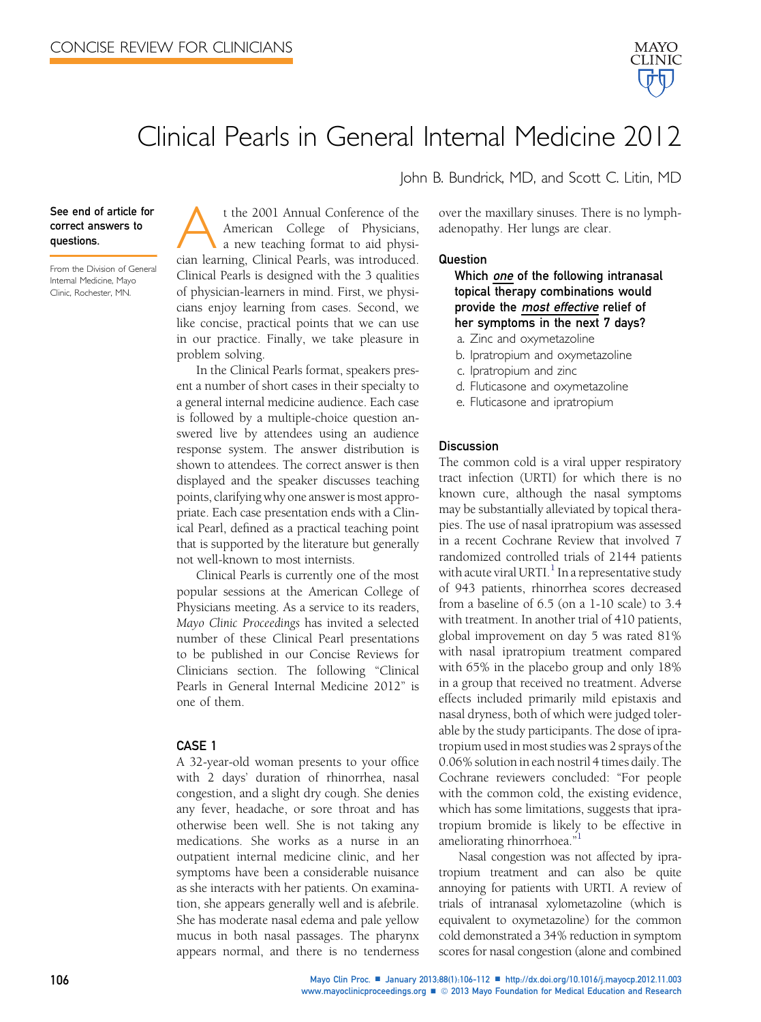

# Clinical Pearls in General Internal Medicine 2012

See end of article for correct answers to questions.

From the Division of General Internal Medicine, Mayo Clinic, Rochester, MN.

t the 2001 Annual Conference of the American College of Physicians, a new teaching format to aid physician learning, Clinical Pearls, was introduced. Clinical Pearls is designed with the 3 qualities of physician-learners in mind. First, we physicians enjoy learning from cases. Second, we like concise, practical points that we can use in our practice. Finally, we take pleasure in problem solving.

In the Clinical Pearls format, speakers present a number of short cases in their specialty to a general internal medicine audience. Each case is followed by a multiple-choice question answered live by attendees using an audience response system. The answer distribution is shown to attendees. The correct answer is then displayed and the speaker discusses teaching points, clarifying why one answer is most appropriate. Each case presentation ends with a Clinical Pearl, defined as a practical teaching point that is supported by the literature but generally not well-known to most internists.

Clinical Pearls is currently one of the most popular sessions at the American College of Physicians meeting. As a service to its readers, Mayo Clinic Proceedings has invited a selected number of these Clinical Pearl presentations to be published in our Concise Reviews for Clinicians section. The following "Clinical Pearls in General Internal Medicine 2012" is one of them.

#### CASE 1

A 32-year-old woman presents to your office with 2 days' duration of rhinorrhea, nasal congestion, and a slight dry cough. She denies any fever, headache, or sore throat and has otherwise been well. She is not taking any medications. She works as a nurse in an outpatient internal medicine clinic, and her symptoms have been a considerable nuisance as she interacts with her patients. On examination, she appears generally well and is afebrile. She has moderate nasal edema and pale yellow mucus in both nasal passages. The pharynx appears normal, and there is no tenderness

over the maxillary sinuses. There is no lymph-

John B. Bundrick, MD, and Scott C. Litin, MD

#### Question

Which one of the following intranasal topical therapy combinations would provide the most effective relief of her symptoms in the next 7 days?

a. Zinc and oxymetazoline

adenopathy. Her lungs are clear.

- b. Ipratropium and oxymetazoline
- c. Ipratropium and zinc
- d. Fluticasone and oxymetazoline
- e. Fluticasone and ipratropium

#### **Discussion**

The common cold is a viral upper respiratory tract infection (URTI) for which there is no known cure, although the nasal symptoms may be substantially alleviated by topical therapies. The use of nasal ipratropium was assessed in a recent Cochrane Review that involved 7 randomized controlled trials of 2144 patients with acute viral URTI. $<sup>1</sup>$  $<sup>1</sup>$  $<sup>1</sup>$  In a representative study</sup> of 943 patients, rhinorrhea scores decreased from a baseline of 6.5 (on a 1-10 scale) to 3.4 with treatment. In another trial of 410 patients, global improvement on day 5 was rated 81% with nasal ipratropium treatment compared with 65% in the placebo group and only 18% in a group that received no treatment. Adverse effects included primarily mild epistaxis and nasal dryness, both of which were judged tolerable by the study participants. The dose of ipratropium used in most studies was 2 sprays of the 0.06% solution in each nostril 4 times daily. The Cochrane reviewers concluded: "For people with the common cold, the existing evidence, which has some limitations, suggests that ipratropium bromide is likely to be effective in ameliorating rhinorrhoea."<sup>[1](#page-5-0)</sup>

Nasal congestion was not affected by ipratropium treatment and can also be quite annoying for patients with URTI. A review of trials of intranasal xylometazoline (which is equivalent to oxymetazoline) for the common cold demonstrated a 34% reduction in symptom scores for nasal congestion (alone and combined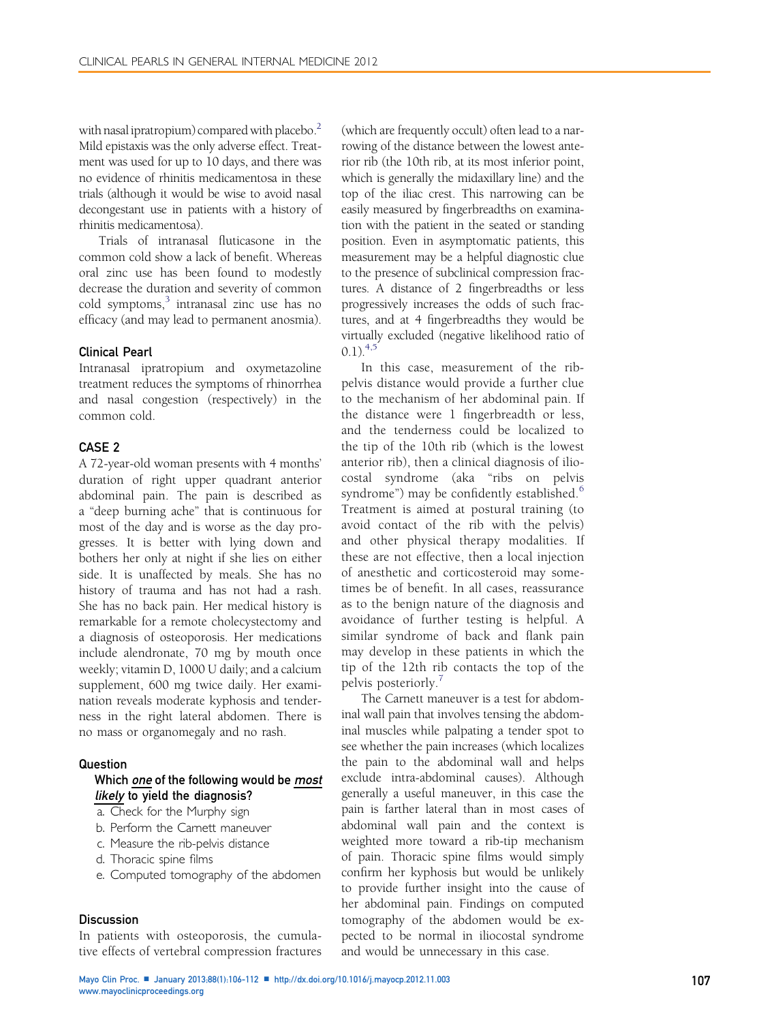with nasal ipratropium) compared with placebo.<sup>2</sup> Mild epistaxis was the only adverse effect. Treatment was used for up to 10 days, and there was no evidence of rhinitis medicamentosa in these trials (although it would be wise to avoid nasal decongestant use in patients with a history of rhinitis medicamentosa).

Trials of intranasal fluticasone in the common cold show a lack of benefit. Whereas oral zinc use has been found to modestly decrease the duration and severity of common cold symptoms, $3$  intranasal zinc use has no efficacy (and may lead to permanent anosmia).

### Clinical Pearl

Intranasal ipratropium and oxymetazoline treatment reduces the symptoms of rhinorrhea and nasal congestion (respectively) in the common cold.

## CASE 2

A 72-year-old woman presents with 4 months' duration of right upper quadrant anterior abdominal pain. The pain is described as a "deep burning ache" that is continuous for most of the day and is worse as the day progresses. It is better with lying down and bothers her only at night if she lies on either side. It is unaffected by meals. She has no history of trauma and has not had a rash. She has no back pain. Her medical history is remarkable for a remote cholecystectomy and a diagnosis of osteoporosis. Her medications include alendronate, 70 mg by mouth once weekly; vitamin D, 1000 U daily; and a calcium supplement, 600 mg twice daily. Her examination reveals moderate kyphosis and tenderness in the right lateral abdomen. There is no mass or organomegaly and no rash.

#### Question

## Which one of the following would be most likely to yield the diagnosis?

- a. Check for the Murphy sign
- b. Perform the Carnett maneuver
- c. Measure the rib-pelvis distance
- d. Thoracic spine films
- e. Computed tomography of the abdomen

## **Discussion**

In patients with osteoporosis, the cumulative effects of vertebral compression fractures (which are frequently occult) often lead to a narrowing of the distance between the lowest anterior rib (the 10th rib, at its most inferior point, which is generally the midaxillary line) and the top of the iliac crest. This narrowing can be easily measured by fingerbreadths on examination with the patient in the seated or standing position. Even in asymptomatic patients, this measurement may be a helpful diagnostic clue to the presence of subclinical compression fractures. A distance of 2 fingerbreadths or less progressively increases the odds of such fractures, and at 4 fingerbreadths they would be virtually excluded (negative likelihood ratio of  $(0.1)^{4,5}$ 

In this case, measurement of the ribpelvis distance would provide a further clue to the mechanism of her abdominal pain. If the distance were 1 fingerbreadth or less, and the tenderness could be localized to the tip of the 10th rib (which is the lowest anterior rib), then a clinical diagnosis of iliocostal syndrome (aka "ribs on pelvis syndrome") may be confidently established.<sup>[6](#page-5-0)</sup> Treatment is aimed at postural training (to avoid contact of the rib with the pelvis) and other physical therapy modalities. If these are not effective, then a local injection of anesthetic and corticosteroid may sometimes be of benefit. In all cases, reassurance as to the benign nature of the diagnosis and avoidance of further testing is helpful. A similar syndrome of back and flank pain may develop in these patients in which the tip of the 12th rib contacts the top of the pelvis posteriorly.<sup>[7](#page-5-0)</sup>

The Carnett maneuver is a test for abdominal wall pain that involves tensing the abdominal muscles while palpating a tender spot to see whether the pain increases (which localizes the pain to the abdominal wall and helps exclude intra-abdominal causes). Although generally a useful maneuver, in this case the pain is farther lateral than in most cases of abdominal wall pain and the context is weighted more toward a rib-tip mechanism of pain. Thoracic spine films would simply confirm her kyphosis but would be unlikely to provide further insight into the cause of her abdominal pain. Findings on computed tomography of the abdomen would be expected to be normal in iliocostal syndrome and would be unnecessary in this case.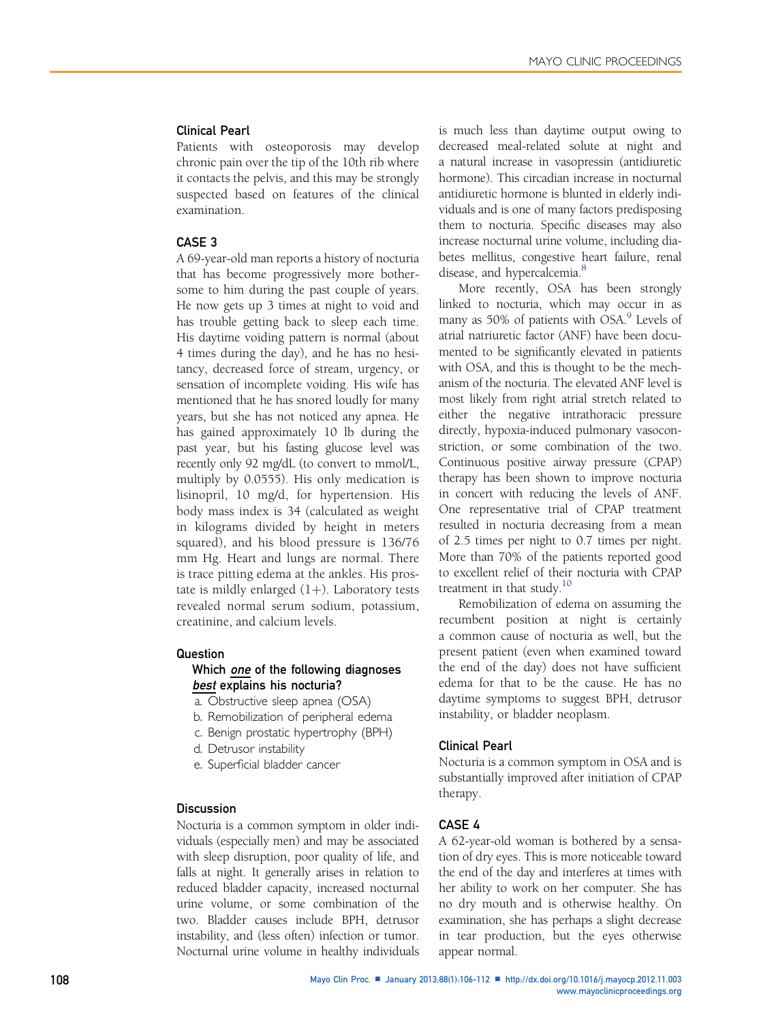# Clinical Pearl

Patients with osteoporosis may develop chronic pain over the tip of the 10th rib where it contacts the pelvis, and this may be strongly suspected based on features of the clinical examination.

# CASE 3

A 69-year-old man reports a history of nocturia that has become progressively more bothersome to him during the past couple of years. He now gets up 3 times at night to void and has trouble getting back to sleep each time. His daytime voiding pattern is normal (about 4 times during the day), and he has no hesitancy, decreased force of stream, urgency, or sensation of incomplete voiding. His wife has mentioned that he has snored loudly for many years, but she has not noticed any apnea. He has gained approximately 10 lb during the past year, but his fasting glucose level was recently only 92 mg/dL (to convert to mmol/L, multiply by 0.0555). His only medication is lisinopril, 10 mg/d, for hypertension. His body mass index is 34 (calculated as weight in kilograms divided by height in meters squared), and his blood pressure is 136/76 mm Hg. Heart and lungs are normal. There is trace pitting edema at the ankles. His prostate is mildly enlarged  $(1+)$ . Laboratory tests revealed normal serum sodium, potassium, creatinine, and calcium levels.

## Question

# Which *one* of the following diagnoses best explains his nocturia?

- a. Obstructive sleep apnea (OSA)
- b. Remobilization of peripheral edema
- c. Benign prostatic hypertrophy (BPH)
- d. Detrusor instability
- e. Superficial bladder cancer

# **Discussion**

Nocturia is a common symptom in older individuals (especially men) and may be associated with sleep disruption, poor quality of life, and falls at night. It generally arises in relation to reduced bladder capacity, increased nocturnal urine volume, or some combination of the two. Bladder causes include BPH, detrusor instability, and (less often) infection or tumor. Nocturnal urine volume in healthy individuals is much less than daytime output owing to decreased meal-related solute at night and a natural increase in vasopressin (antidiuretic hormone). This circadian increase in nocturnal antidiuretic hormone is blunted in elderly individuals and is one of many factors predisposing them to nocturia. Specific diseases may also increase nocturnal urine volume, including diabetes mellitus, congestive heart failure, renal disease, and hypercalcemia.<sup>8</sup>

More recently, OSA has been strongly linked to nocturia, which may occur in as many as 50% of patients with OSA.<sup>[9](#page-5-0)</sup> Levels of atrial natriuretic factor (ANF) have been documented to be significantly elevated in patients with OSA, and this is thought to be the mechanism of the nocturia. The elevated ANF level is most likely from right atrial stretch related to either the negative intrathoracic pressure directly, hypoxia-induced pulmonary vasoconstriction, or some combination of the two. Continuous positive airway pressure (CPAP) therapy has been shown to improve nocturia in concert with reducing the levels of ANF. One representative trial of CPAP treatment resulted in nocturia decreasing from a mean of 2.5 times per night to 0.7 times per night. More than 70% of the patients reported good to excellent relief of their nocturia with CPAP treatment in that study. $10$ 

Remobilization of edema on assuming the recumbent position at night is certainly a common cause of nocturia as well, but the present patient (even when examined toward the end of the day) does not have sufficient edema for that to be the cause. He has no daytime symptoms to suggest BPH, detrusor instability, or bladder neoplasm.

### Clinical Pearl

Nocturia is a common symptom in OSA and is substantially improved after initiation of CPAP therapy.

### CASE 4

A 62-year-old woman is bothered by a sensation of dry eyes. This is more noticeable toward the end of the day and interferes at times with her ability to work on her computer. She has no dry mouth and is otherwise healthy. On examination, she has perhaps a slight decrease in tear production, but the eyes otherwise appear normal.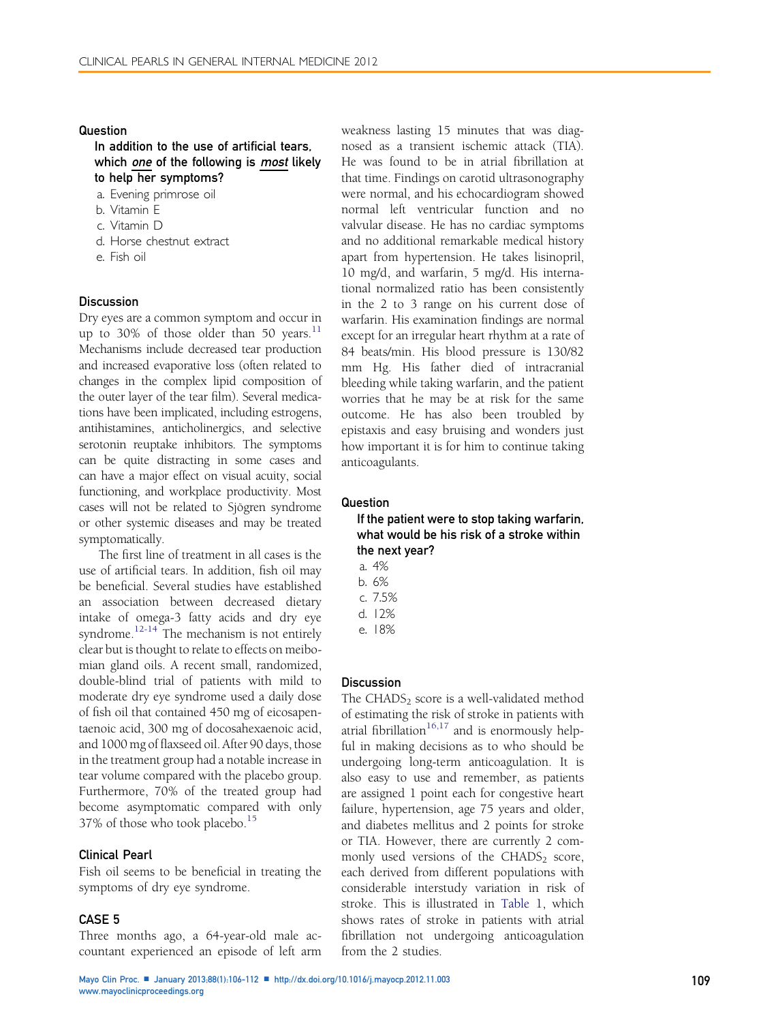## Question

In addition to the use of artificial tears, which one of the following is most likely to help her symptoms?

- a. Evening primrose oil
- b. Vitamin E
- c. Vitamin D
- d. Horse chestnut extract
- e. Fish oil

#### **Discussion**

Dry eyes are a common symptom and occur in up to 30% of those older than 50 years. $11$ Mechanisms include decreased tear production and increased evaporative loss (often related to changes in the complex lipid composition of the outer layer of the tear film). Several medications have been implicated, including estrogens, antihistamines, anticholinergics, and selective serotonin reuptake inhibitors. The symptoms can be quite distracting in some cases and can have a major effect on visual acuity, social functioning, and workplace productivity. Most cases will not be related to Sjögren syndrome or other systemic diseases and may be treated symptomatically.

The first line of treatment in all cases is the use of artificial tears. In addition, fish oil may be beneficial. Several studies have established an association between decreased dietary intake of omega-3 fatty acids and dry eye syndrome.<sup>[12-14](#page-5-0)</sup> The mechanism is not entirely clear but is thought to relate to effects on meibomian gland oils. A recent small, randomized, double-blind trial of patients with mild to moderate dry eye syndrome used a daily dose of fish oil that contained 450 mg of eicosapentaenoic acid, 300 mg of docosahexaenoic acid, and 1000 mg of flaxseed oil. After 90 days, those in the treatment group had a notable increase in tear volume compared with the placebo group. Furthermore, 70% of the treated group had become asymptomatic compared with only 37% of those who took placebo.<sup>[15](#page-5-0)</sup>

## Clinical Pearl

Fish oil seems to be beneficial in treating the symptoms of dry eye syndrome.

### CASE 5

Three months ago, a 64-year-old male accountant experienced an episode of left arm weakness lasting 15 minutes that was diagnosed as a transient ischemic attack (TIA). He was found to be in atrial fibrillation at that time. Findings on carotid ultrasonography were normal, and his echocardiogram showed normal left ventricular function and no valvular disease. He has no cardiac symptoms and no additional remarkable medical history apart from hypertension. He takes lisinopril, 10 mg/d, and warfarin, 5 mg/d. His international normalized ratio has been consistently in the 2 to 3 range on his current dose of warfarin. His examination findings are normal except for an irregular heart rhythm at a rate of 84 beats/min. His blood pressure is 130/82 mm Hg. His father died of intracranial bleeding while taking warfarin, and the patient worries that he may be at risk for the same outcome. He has also been troubled by epistaxis and easy bruising and wonders just how important it is for him to continue taking anticoagulants.

## **Question**

# If the patient were to stop taking warfarin, what would be his risk of a stroke within the next year?

a. 4%

- b. 6%
- c. 7.5%
- d. 12%
- e. 18%

## **Discussion**

The CHADS<sub>2</sub> score is a well-validated method of estimating the risk of stroke in patients with atrial fibrillation<sup>[16,17](#page-5-0)</sup> and is enormously helpful in making decisions as to who should be undergoing long-term anticoagulation. It is also easy to use and remember, as patients are assigned 1 point each for congestive heart failure, hypertension, age 75 years and older, and diabetes mellitus and 2 points for stroke or TIA. However, there are currently 2 commonly used versions of the  $CHADS<sub>2</sub> score$ , each derived from different populations with considerable interstudy variation in risk of stroke. This is illustrated in [Table 1,](#page-4-0) which shows rates of stroke in patients with atrial fibrillation not undergoing anticoagulation from the 2 studies.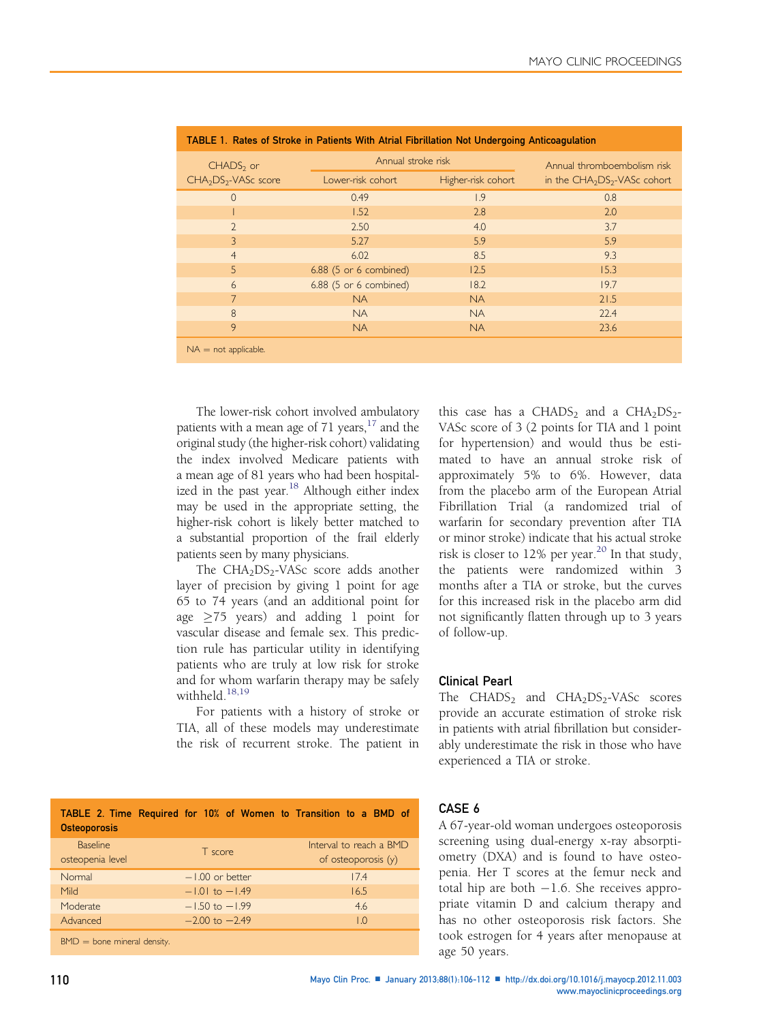<span id="page-4-0"></span>

| TABLE 1. Rates of Stroke in Patients With Atrial Fibrillation Not Undergoing Anticoagulation |                        |                    |                              |  |  |  |  |
|----------------------------------------------------------------------------------------------|------------------------|--------------------|------------------------------|--|--|--|--|
| $CHADS2$ or<br>CHA <sub>2</sub> DS <sub>2</sub> -VASc score                                  | Annual stroke risk     |                    | Annual thromboembolism risk  |  |  |  |  |
|                                                                                              | Lower-risk cohort      | Higher-risk cohort | in the $CHA2DS2-VASc cohort$ |  |  |  |  |
| $\overline{0}$                                                                               | 0.49                   | 1.9                | 0.8                          |  |  |  |  |
|                                                                                              | 1.52                   | 2.8                | 2.0                          |  |  |  |  |
| $\overline{2}$                                                                               | 2.50                   | 4.0                | 3.7                          |  |  |  |  |
| 3                                                                                            | 5.27                   | 5.9                | 5.9                          |  |  |  |  |
| $\overline{4}$                                                                               | 6.02                   | 8.5                | 9.3                          |  |  |  |  |
| 5                                                                                            | 6.88 (5 or 6 combined) | 12.5               | 15.3                         |  |  |  |  |
| 6                                                                                            | 6.88 (5 or 6 combined) | 18.2               | 19.7                         |  |  |  |  |
| $\overline{7}$                                                                               | <b>NA</b>              | <b>NA</b>          | 21.5                         |  |  |  |  |
| 8                                                                                            | <b>NA</b>              | <b>NA</b>          | 22.4                         |  |  |  |  |
| 9                                                                                            | <b>NA</b>              | <b>NA</b>          | 23.6                         |  |  |  |  |
| $NA = not applicable.$                                                                       |                        |                    |                              |  |  |  |  |

|  | TABLE 1. Rates of Stroke in Patients With Atrial Fibrillation Not Undergoing Anticoagulation |  |
|--|----------------------------------------------------------------------------------------------|--|
|  |                                                                                              |  |

The lower-risk cohort involved ambulatory patients with a mean age of 71 years,  $17$  and the original study (the higher-risk cohort) validating the index involved Medicare patients with a mean age of 81 years who had been hospital-ized in the past year.<sup>[18](#page-6-0)</sup> Although either index may be used in the appropriate setting, the higher-risk cohort is likely better matched to a substantial proportion of the frail elderly patients seen by many physicians.

The  $CHA<sub>2</sub>DS<sub>2</sub>-VASc$  score adds another layer of precision by giving 1 point for age 65 to 74 years (and an additional point for age  $\geq$ 75 years) and adding 1 point for vascular disease and female sex. This prediction rule has particular utility in identifying patients who are truly at low risk for stroke and for whom warfarin therapy may be safely withheld  $^{18,19}$  $^{18,19}$  $^{18,19}$ 

For patients with a history of stroke or TIA, all of these models may underestimate the risk of recurrent stroke. The patient in

TABLE 2. Time Required for 10% of Women to Transition to a BMD of **Osteoporosis** Baseline osteopenia level T score Interval to reach a BMD of osteoporosis (y) Normal 17.4<br>
1.00 or better 17.4<br>
16.5<br>
16.5 Mild 16.5<br>Moderate 1.01 to -1.49 16.5<br>Moderate 1.50 to -1.99 16.5 Moderate -1.50 to -1.99 4.6<br>Advanced -2.00 to -2.49 4.6  $-2.00$  to  $-2.49$ 

 $BMD =$  bone mineral density.

## CASE 6

of follow-up.

Clinical Pearl

experienced a TIA or stroke.

A 67-year-old woman undergoes osteoporosis screening using dual-energy x-ray absorptiometry (DXA) and is found to have osteopenia. Her T scores at the femur neck and total hip are both  $-1.6$ . She receives appropriate vitamin D and calcium therapy and has no other osteoporosis risk factors. She took estrogen for 4 years after menopause at age 50 years.

The  $CHADS<sub>2</sub>$  and  $CHA<sub>2</sub>DS<sub>2</sub>-VASC$  scores provide an accurate estimation of stroke risk in patients with atrial fibrillation but considerably underestimate the risk in those who have

this case has a CHADS<sub>2</sub> and a CHA<sub>2</sub>DS<sub>2</sub>-VASc score of 3 (2 points for TIA and 1 point for hypertension) and would thus be estimated to have an annual stroke risk of approximately 5% to 6%. However, data from the placebo arm of the European Atrial Fibrillation Trial (a randomized trial of warfarin for secondary prevention after TIA or minor stroke) indicate that his actual stroke risk is closer to 12% per year.<sup>[20](#page-6-0)</sup> In that study, the patients were randomized within 3 months after a TIA or stroke, but the curves for this increased risk in the placebo arm did not significantly flatten through up to 3 years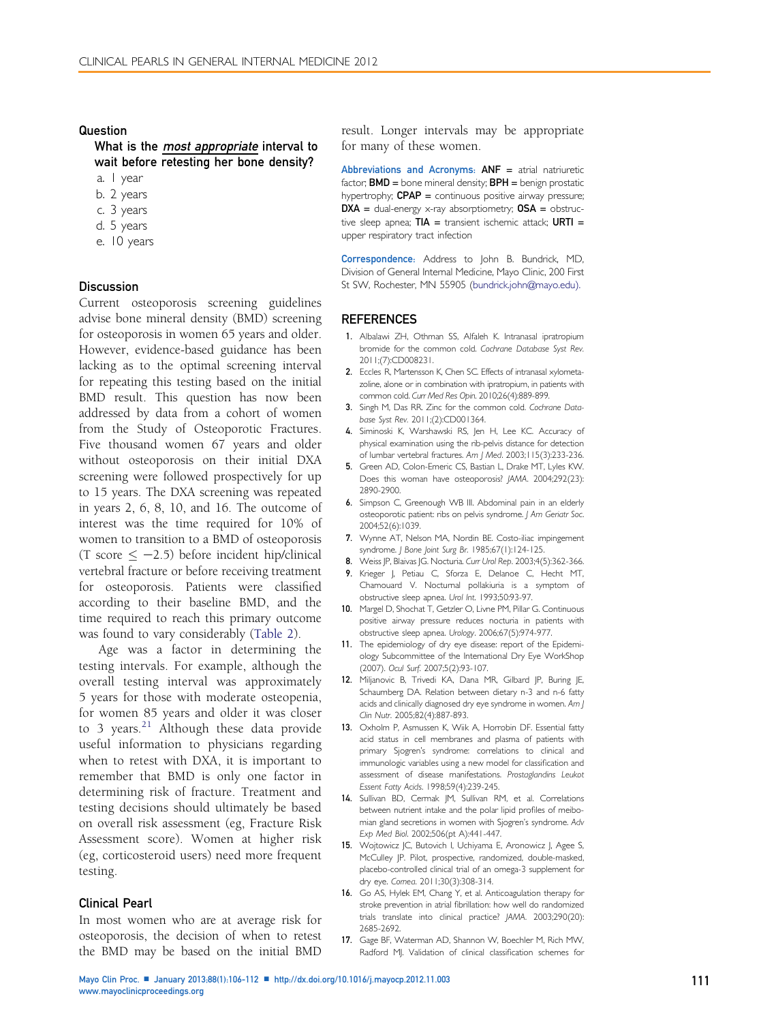#### <span id="page-5-0"></span>Question

What is the *most appropriate* interval to wait before retesting her bone density?

- a. 1 year
- b. 2 years
- c. 3 years
- d. 5 years
- e. 10 years

## **Discussion**

Current osteoporosis screening guidelines advise bone mineral density (BMD) screening for osteoporosis in women 65 years and older. However, evidence-based guidance has been lacking as to the optimal screening interval for repeating this testing based on the initial BMD result. This question has now been addressed by data from a cohort of women from the Study of Osteoporotic Fractures. Five thousand women 67 years and older without osteoporosis on their initial DXA screening were followed prospectively for up to 15 years. The DXA screening was repeated in years 2, 6, 8, 10, and 16. The outcome of interest was the time required for 10% of women to transition to a BMD of osteoporosis  $(T \text{ score} < -2.5)$  before incident hip/clinical vertebral fracture or before receiving treatment for osteoporosis. Patients were classified according to their baseline BMD, and the time required to reach this primary outcome was found to vary considerably [\(Table 2](#page-4-0)).

Age was a factor in determining the testing intervals. For example, although the overall testing interval was approximately 5 years for those with moderate osteopenia, for women 85 years and older it was closer to 3 years.<sup>[21](#page-6-0)</sup> Although these data provide useful information to physicians regarding when to retest with DXA, it is important to remember that BMD is only one factor in determining risk of fracture. Treatment and testing decisions should ultimately be based on overall risk assessment (eg, Fracture Risk Assessment score). Women at higher risk (eg, corticosteroid users) need more frequent testing.

#### Clinical Pearl

In most women who are at average risk for osteoporosis, the decision of when to retest the BMD may be based on the initial BMD

result. Longer intervals may be appropriate for many of these women.

Abbreviations and Acronyms: ANF = atrial natriuretic factor;  $BMD =$  bone mineral density;  $BPH =$  benign prostatic hypertrophy;  $CPAP =$  continuous positive airway pressure;  $DXA = dual-energy x-ray absorptionetry;  $OSA = obstruc$$ tive sleep apnea;  $TIA =$  transient ischemic attack; URTI = upper respiratory tract infection

Correspondence: Address to John B. Bundrick, MD, Division of General Internal Medicine, Mayo Clinic, 200 First St SW, Rochester, MN 55905 [\(bundrick.john@mayo.edu\).](mailto:bundrick.john@mayo.edu)

#### **REFERENCES**

- 1. Albalawi ZH, Othman SS, Alfaleh K. Intranasal ipratropium bromide for the common cold. Cochrane Database Syst Rev. 2011;(7):CD008231.
- 2. Eccles R, Martensson K, Chen SC. Effects of intranasal xylometazoline, alone or in combination with ipratropium, in patients with common cold. Curr Med Res Opin. 2010;26(4):889-899.
- 3. Singh M, Das RR. Zinc for the common cold. Cochrane Database Syst Rev. 2011;(2):CD001364.
- 4. Siminoski K, Warshawski RS, Jen H, Lee KC. Accuracy of physical examination using the rib-pelvis distance for detection of lumbar vertebral fractures. Am J Med. 2003;115(3):233-236.
- 5. Green AD, Colon-Emeric CS, Bastian L, Drake MT, Lyles KW. Does this woman have osteoporosis? JAMA. 2004;292(23): 2890-2900.
- 6. Simpson C, Greenough WB III. Abdominal pain in an elderly osteoporotic patient: ribs on pelvis syndrome. J Am Geriatr Soc. 2004;52(6):1039.
- 7. Wynne AT, Nelson MA, Nordin BE. Costo-iliac impingement syndrome. *J Bone Joint Surg Br.* 1985;67(1):124-125.
- 8. Weiss JP, Blaivas JG. Nocturia. Curr Urol Rep. 2003;4(5):362-366.
- 9. Krieger J, Petiau C, Sforza E, Delanoe C, Hecht MT, Chamouard V. Nocturnal pollakiuria is a symptom of obstructive sleep apnea. Urol Int. 1993;50:93-97.
- 10. Margel D, Shochat T, Getzler O, Livne PM, Pillar G. Continuous positive airway pressure reduces nocturia in patients with obstructive sleep apnea. Urology. 2006;67(5):974-977.
- 11. The epidemiology of dry eye disease: report of the Epidemiology Subcommittee of the International Dry Eye WorkShop (2007). Ocul Surf. 2007;5(2):93-107.
- 12. Miljanovic B, Trivedi KA, Dana MR, Gilbard JP, Buring JE, Schaumberg DA. Relation between dietary n-3 and n-6 fatty acids and clinically diagnosed dry eye syndrome in women. Am J Clin Nutr. 2005;82(4):887-893.
- 13. Oxholm P, Asmussen K, Wiik A, Horrobin DF. Essential fatty acid status in cell membranes and plasma of patients with primary Sjogren's syndrome: correlations to clinical and immunologic variables using a new model for classification and assessment of disease manifestations. Prostaglandins Leukot Essent Fatty Acids. 1998;59(4):239-245.
- 14. Sullivan BD, Cermak JM, Sullivan RM, et al. Correlations between nutrient intake and the polar lipid profiles of meibomian gland secretions in women with Sjogren's syndrome. Adv Exp Med Biol. 2002;506(pt A):441-447.
- 15. Wojtowicz JC, Butovich I, Uchiyama E, Aronowicz J, Agee S, McCulley JP. Pilot, prospective, randomized, double-masked, placebo-controlled clinical trial of an omega-3 supplement for dry eye. Cornea. 2011;30(3):308-314.
- 16. Go AS, Hylek EM, Chang Y, et al. Anticoagulation therapy for stroke prevention in atrial fibrillation: how well do randomized trials translate into clinical practice? JAMA. 2003;290(20): 2685-2692.
- 17. Gage BF, Waterman AD, Shannon W, Boechler M, Rich MW, Radford MJ. Validation of clinical classification schemes for